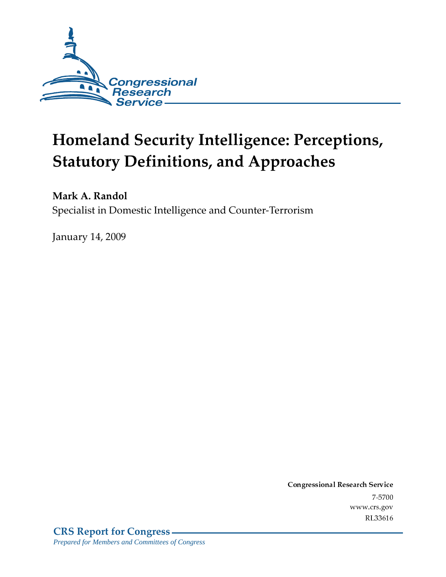

# **Homeland Security Intelligence: Perceptions, Statutory Definitions, and Approaches**

Mark A. Randol Specialist in Domestic Intelligence and Counter-Terrorism

**January 14, 2009** 

Conglessional Research Service  $7 - 2700$ www.crs.gov RL33616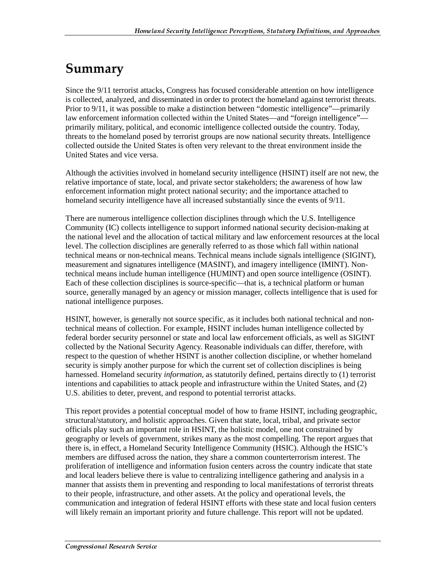### Summary

Since the 9/11 terrorist attacks, Congress has focused considerable attention on how intelligence is collected, analyzed, and disseminated in order to protect the homeland against terrorist threats. Prior to 9/11, it was possible to make a distinction between "domestic intelligence"—primarily law enforcement information collected within the United States—and "foreign intelligence" primarily military, political, and economic intelligence collected outside the country. Today, threats to the homeland posed by terrorist groups are now national security threats. Intelligence collected outside the United States is often very relevant to the threat environment inside the United States and vice versa.

Although the activities involved in homeland security intelligence (HSINT) itself are not new, the relative importance of state, local, and private sector stakeholders; the awareness of how law enforcement information might protect national security; and the importance attached to homeland security intelligence have all increased substantially since the events of 9/11.

There are numerous intelligence collection disciplines through which the U.S. Intelligence Community (IC) collects intelligence to support informed national security decision-making at the national level and the allocation of tactical military and law enforcement resources at the local level. The collection disciplines are generally referred to as those which fall within national technical means or non-technical means. Technical means include signals intelligence (SIGINT), measurement and signatures intelligence (MASINT), and imagery intelligence (IMINT). Nontechnical means include human intelligence (HUMINT) and open source intelligence (OSINT). Each of these collection disciplines is source-specific—that is, a technical platform or human source, generally managed by an agency or mission manager, collects intelligence that is used for national intelligence purposes.

HSINT, however, is generally not source specific, as it includes both national technical and nontechnical means of collection. For example, HSINT includes human intelligence collected by federal border security personnel or state and local law enforcement officials, as well as SIGINT collected by the National Security Agency. Reasonable individuals can differ, therefore, with respect to the question of whether HSINT is another collection discipline, or whether homeland security is simply another purpose for which the current set of collection disciplines is being harnessed. Homeland security *information*, as statutorily defined, pertains directly to (1) terrorist intentions and capabilities to attack people and infrastructure within the United States, and (2) U.S. abilities to deter, prevent, and respond to potential terrorist attacks.

This report provides a potential conceptual model of how to frame HSINT, including geographic, structural/statutory, and holistic approaches. Given that state, local, tribal, and private sector officials play such an important role in HSINT, the holistic model, one not constrained by geography or levels of government, strikes many as the most compelling. The report argues that there is, in effect, a Homeland Security Intelligence Community (HSIC). Although the HSIC's members are diffused across the nation, they share a common counterterrorism interest. The proliferation of intelligence and information fusion centers across the country indicate that state and local leaders believe there is value to centralizing intelligence gathering and analysis in a manner that assists them in preventing and responding to local manifestations of terrorist threats to their people, infrastructure, and other assets. At the policy and operational levels, the communication and integration of federal HSINT efforts with these state and local fusion centers will likely remain an important priority and future challenge. This report will not be updated.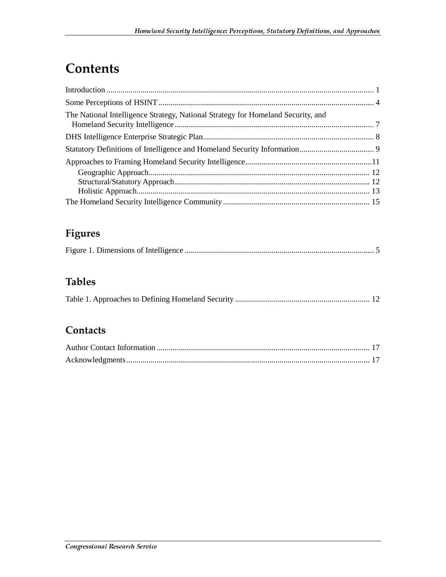### **Contents**

| The National Intelligence Strategy, National Strategy for Homeland Security, and |  |
|----------------------------------------------------------------------------------|--|
|                                                                                  |  |
|                                                                                  |  |
|                                                                                  |  |
|                                                                                  |  |
|                                                                                  |  |
|                                                                                  |  |
|                                                                                  |  |

#### **Figures**

|--|

#### **Tables**

#### Contacts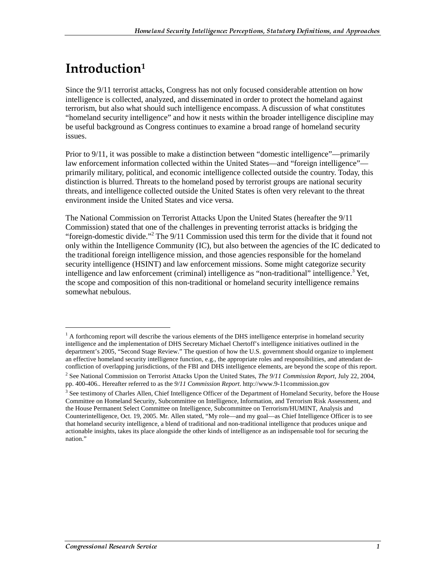# Introduction<sup>1</sup>

Since the 9/11 terrorist attacks, Congress has not only focused considerable attention on how intelligence is collected, analyzed, and disseminated in order to protect the homeland against terrorism, but also what should such intelligence encompass. A discussion of what constitutes "homeland security intelligence" and how it nests within the broader intelligence discipline may be useful background as Congress continues to examine a broad range of homeland security issues.

Prior to 9/11, it was possible to make a distinction between "domestic intelligence"—primarily law enforcement information collected within the United States—and "foreign intelligence" primarily military, political, and economic intelligence collected outside the country. Today, this distinction is blurred. Threats to the homeland posed by terrorist groups are national security threats, and intelligence collected outside the United States is often very relevant to the threat environment inside the United States and vice versa.

The National Commission on Terrorist Attacks Upon the United States (hereafter the 9/11 Commission) stated that one of the challenges in preventing terrorist attacks is bridging the "foreign-domestic divide."<sup>2</sup> The 9/11 Commission used this term for the divide that it found not only within the Intelligence Community (IC), but also between the agencies of the IC dedicated to the traditional foreign intelligence mission, and those agencies responsible for the homeland security intelligence (HSINT) and law enforcement missions. Some might categorize security intelligence and law enforcement (criminal) intelligence as "non-traditional" intelligence.<sup>3</sup> Yet, the scope and composition of this non-traditional or homeland security intelligence remains somewhat nebulous.

 $<sup>1</sup>$  A forthcoming report will describe the various elements of the DHS intelligence enterprise in homeland security</sup> intelligence and the implementation of DHS Secretary Michael Chertoff's intelligence initiatives outlined in the department's 2005, "Second Stage Review." The question of how the U.S. government should organize to implement an effective homeland security intelligence function, e.g., the appropriate roles and responsibilities, and attendant deconfliction of overlapping jurisdictions, of the FBI and DHS intelligence elements, are beyond the scope of this report.

<sup>2</sup> See National Commission on Terrorist Attacks Upon the United States, *The 9/11 Commission Report*, July 22, 2004, pp. 400-406.. Hereafter referred to as the *9/11 Commission Report*. http://www.9-11commission.gov

<sup>&</sup>lt;sup>3</sup> See testimony of Charles Allen, Chief Intelligence Officer of the Department of Homeland Security, before the House Committee on Homeland Security, Subcommittee on Intelligence, Information, and Terrorism Risk Assessment, and the House Permanent Select Committee on Intelligence, Subcommittee on Terrorism/HUMINT, Analysis and Counterintelligence, Oct. 19, 2005. Mr. Allen stated, "My role—and my goal—as Chief Intelligence Officer is to see that homeland security intelligence, a blend of traditional and non-traditional intelligence that produces unique and actionable insights, takes its place alongside the other kinds of intelligence as an indispensable tool for securing the nation."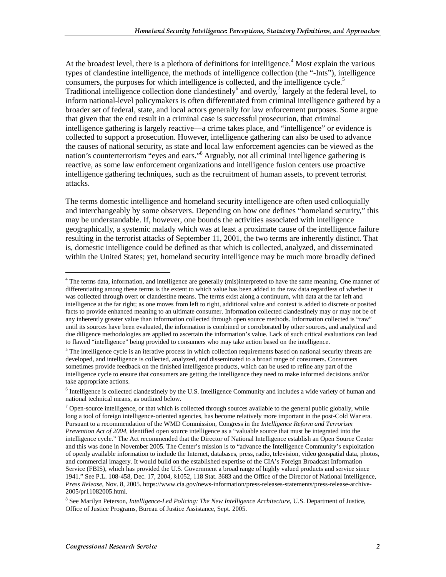At the broadest level, there is a plethora of definitions for intelligence.<sup>4</sup> Most explain the various types of clandestine intelligence, the methods of intelligence collection (the "-Ints"), intelligence consumers, the purposes for which intelligence is collected, and the intelligence cycle. $5$ Traditional intelligence collection done clandestinely<sup>6</sup> and overtly,<sup>7</sup> largely at the federal level, to inform national-level policymakers is often differentiated from criminal intelligence gathered by a broader set of federal, state, and local actors generally for law enforcement purposes. Some argue that given that the end result in a criminal case is successful prosecution, that criminal intelligence gathering is largely reactive—a crime takes place, and "intelligence" or evidence is collected to support a prosecution. However, intelligence gathering can also be used to advance the causes of national security, as state and local law enforcement agencies can be viewed as the nation's counterterrorism "eyes and ears."<sup>8</sup> Arguably, not all criminal intelligence gathering is reactive, as some law enforcement organizations and intelligence fusion centers use proactive intelligence gathering techniques, such as the recruitment of human assets, to prevent terrorist attacks.

The terms domestic intelligence and homeland security intelligence are often used colloquially and interchangeably by some observers. Depending on how one defines "homeland security," this may be understandable. If, however, one bounds the activities associated with intelligence geographically, a systemic malady which was at least a proximate cause of the intelligence failure resulting in the terrorist attacks of September 11, 2001, the two terms are inherently distinct. That is, domestic intelligence could be defined as that which is collected, analyzed, and disseminated within the United States; yet, homeland security intelligence may be much more broadly defined

<sup>&</sup>lt;sup>4</sup> The terms data, information, and intelligence are generally (mis)interpreted to have the same meaning. One manner of differentiating among these terms is the extent to which value has been added to the raw data regardless of whether it was collected through overt or clandestine means. The terms exist along a continuum, with data at the far left and intelligence at the far right; as one moves from left to right, additional value and context is added to discrete or posited facts to provide enhanced meaning to an ultimate consumer. Information collected clandestinely may or may not be of any inherently greater value than information collected through open source methods. Information collected is "raw" until its sources have been evaluated, the information is combined or corroborated by other sources, and analytical and due diligence methodologies are applied to ascertain the information's value. Lack of such critical evaluations can lead to flawed "intelligence" being provided to consumers who may take action based on the intelligence.

<sup>&</sup>lt;sup>5</sup> The intelligence cycle is an iterative process in which collection requirements based on national security threats are developed, and intelligence is collected, analyzed, and disseminated to a broad range of consumers. Consumers sometimes provide feedback on the finished intelligence products, which can be used to refine any part of the intelligence cycle to ensure that consumers are getting the intelligence they need to make informed decisions and/or take appropriate actions.

<sup>&</sup>lt;sup>6</sup> Intelligence is collected clandestinely by the U.S. Intelligence Community and includes a wide variety of human and national technical means, as outlined below.

 $7$  Open-source intelligence, or that which is collected through sources available to the general public globally, while long a tool of foreign intelligence-oriented agencies, has become relatively more important in the post-Cold War era. Pursuant to a recommendation of the WMD Commission, Congress in the *Intelligence Reform and Terrorism Prevention Act of 2004*, identified open source intelligence as a "valuable source that must be integrated into the intelligence cycle." The Act recommended that the Director of National Intelligence establish an Open Source Center and this was done in November 2005. The Center's mission is to "advance the Intelligence Community's exploitation of openly available information to include the Internet, databases, press, radio, television, video geospatial data, photos, and commercial imagery. It would build on the established expertise of the CIA's Foreign Broadcast Information Service (FBIS), which has provided the U.S. Government a broad range of highly valued products and service since 1941." See P.L. 108-458, Dec. 17, 2004, §1052, 118 Stat. 3683 and the Office of the Director of National Intelligence, *Press Release,* Nov. 8, 2005. https://www.cia.gov/news-information/press-releases-statements/press-release-archive-2005/pr11082005.html.

<sup>8</sup> See Marilyn Peterson, *Intelligence-Led Policing: The New Intelligence Architecture*, U.S. Department of Justice, Office of Justice Programs, Bureau of Justice Assistance, Sept. 2005.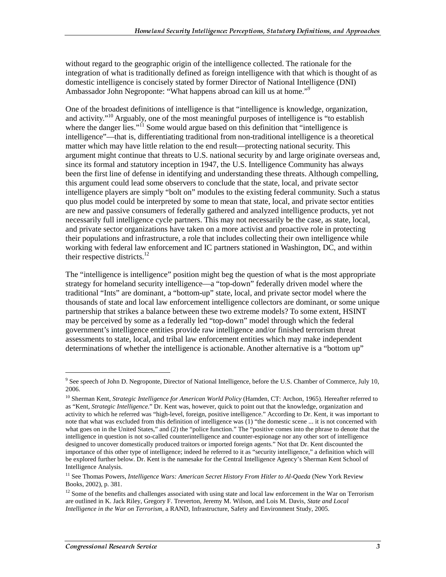without regard to the geographic origin of the intelligence collected. The rationale for the integration of what is traditionally defined as foreign intelligence with that which is thought of as domestic intelligence is concisely stated by former Director of National Intelligence (DNI) Ambassador John Negroponte: "What happens abroad can kill us at home."<sup>9</sup>

One of the broadest definitions of intelligence is that "intelligence is knowledge, organization, and activity."<sup>10</sup> Arguably, one of the most meaningful purposes of intelligence is "to establish where the danger lies."<sup>11</sup> Some would argue based on this definition that "intelligence is intelligence"—that is, differentiating traditional from non-traditional intelligence is a theoretical matter which may have little relation to the end result—protecting national security. This argument might continue that threats to U.S. national security by and large originate overseas and, since its formal and statutory inception in 1947, the U.S. Intelligence Community has always been the first line of defense in identifying and understanding these threats. Although compelling, this argument could lead some observers to conclude that the state, local, and private sector intelligence players are simply "bolt on" modules to the existing federal community. Such a status quo plus model could be interpreted by some to mean that state, local, and private sector entities are new and passive consumers of federally gathered and analyzed intelligence products, yet not necessarily full intelligence cycle partners. This may not necessarily be the case, as state, local, and private sector organizations have taken on a more activist and proactive role in protecting their populations and infrastructure, a role that includes collecting their own intelligence while working with federal law enforcement and IC partners stationed in Washington, DC, and within their respective districts. $^{12}$ 

The "intelligence is intelligence" position might beg the question of what is the most appropriate strategy for homeland security intelligence—a "top-down" federally driven model where the traditional "Ints" are dominant, a "bottom-up" state, local, and private sector model where the thousands of state and local law enforcement intelligence collectors are dominant, or some unique partnership that strikes a balance between these two extreme models? To some extent, HSINT may be perceived by some as a federally led "top-down" model through which the federal government's intelligence entities provide raw intelligence and/or finished terrorism threat assessments to state, local, and tribal law enforcement entities which may make independent determinations of whether the intelligence is actionable. Another alternative is a "bottom up"

 $\overline{a}$ 

<sup>&</sup>lt;sup>9</sup> See speech of John D. Negroponte, Director of National Intelligence, before the U.S. Chamber of Commerce, July 10, 2006.

<sup>10</sup> Sherman Kent, *Strategic Intelligence for American World Policy* (Hamden, CT: Archon, 1965). Hereafter referred to as "Kent, *Strategic Intelligence*." Dr. Kent was, however, quick to point out that the knowledge, organization and activity to which he referred was "high-level, foreign, positive intelligence." According to Dr. Kent, it was important to note that what was excluded from this definition of intelligence was (1) "the domestic scene ... it is not concerned with what goes on in the United States," and (2) the "police function." The "positive comes into the phrase to denote that the intelligence in question is not so-called counterintelligence and counter-espionage nor any other sort of intelligence designed to uncover domestically produced traitors or imported foreign agents." Not that Dr. Kent discounted the importance of this other type of intelligence; indeed he referred to it as "security intelligence," a definition which will be explored further below. Dr. Kent is the namesake for the Central Intelligence Agency's Sherman Kent School of Intelligence Analysis.

<sup>&</sup>lt;sup>11</sup> See Thomas Powers, *Intelligence Wars: American Secret History From Hitler to Al-Qaeda* (New York Review Books, 2002), p. 381.

<sup>&</sup>lt;sup>12</sup> Some of the benefits and challenges associated with using state and local law enforcement in the War on Terrorism are outlined in K. Jack Riley, Gregory F. Treverton, Jeremy M. Wilson, and Lois M. Davis, *State and Local Intelligence in the War on Terrorism*, a RAND, Infrastructure, Safety and Environment Study, 2005.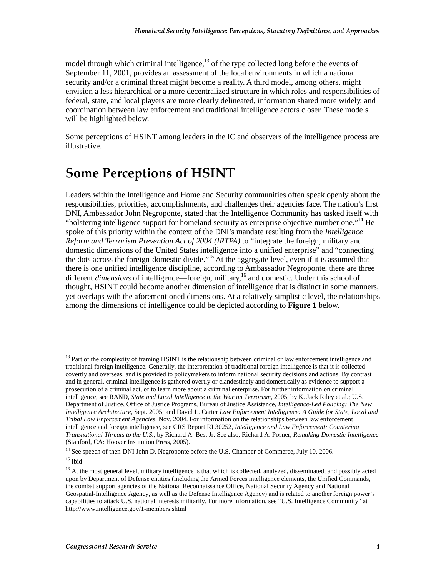model through which criminal intelligence, $^{13}$  of the type collected long before the events of September 11, 2001, provides an assessment of the local environments in which a national security and/or a criminal threat might become a reality. A third model, among others, might envision a less hierarchical or a more decentralized structure in which roles and responsibilities of federal, state, and local players are more clearly delineated, information shared more widely, and coordination between law enforcement and traditional intelligence actors closer. These models will be highlighted below.

Some perceptions of HSINT among leaders in the IC and observers of the intelligence process are illustrative.

### Some Perceptions of HSINT

Leaders within the Intelligence and Homeland Security communities often speak openly about the responsibilities, priorities, accomplishments, and challenges their agencies face. The nation's first DNI, Ambassador John Negroponte, stated that the Intelligence Community has tasked itself with "bolstering intelligence support for homeland security as enterprise objective number one."14 He spoke of this priority within the context of the DNI's mandate resulting from the *Intelligence Reform and Terrorism Prevention Act of 2004 (IRTPA)* to "integrate the foreign, military and domestic dimensions of the United States intelligence into a unified enterprise" and "connecting the dots across the foreign-domestic divide."15 At the aggregate level, even if it is assumed that there is one unified intelligence discipline, according to Ambassador Negroponte, there are three different *dimensions* of intelligence—foreign, military,<sup>16</sup> and domestic. Under this school of thought, HSINT could become another dimension of intelligence that is distinct in some manners, yet overlaps with the aforementioned dimensions. At a relatively simplistic level, the relationships among the dimensions of intelligence could be depicted according to **Figure 1** below.

 $13$  Part of the complexity of framing HSINT is the relationship between criminal or law enforcement intelligence and traditional foreign intelligence. Generally, the interpretation of traditional foreign intelligence is that it is collected covertly and overseas, and is provided to policymakers to inform national security decisions and actions. By contrast and in general, criminal intelligence is gathered overtly or clandestinely and domestically as evidence to support a prosecution of a criminal act, or to learn more about a criminal enterprise. For further information on criminal intelligence, see RAND, *State and Local Intelligence in the War on Terrorism*, 2005, by K. Jack Riley et al.; U.S. Department of Justice, Office of Justice Programs, Bureau of Justice Assistance, *Intelligence-Led Policing: The New Intelligence Architecture*, Sept. 2005; and David L. Carter *Law Enforcement Intelligence: A Guide for State, Local and Tribal Law Enforcement Agencies,* Nov. 2004. For information on the relationships between law enforcement intelligence and foreign intelligence, see CRS Report RL30252, *Intelligence and Law Enforcement: Countering Transnational Threats to the U.S.*, by Richard A. Best Jr. See also, Richard A. Posner, *Remaking Domestic Intelligence* (Stanford, CA: Hoover Institution Press, 2005).

<sup>&</sup>lt;sup>14</sup> See speech of then-DNI John D. Negroponte before the U.S. Chamber of Commerce, July 10, 2006.

 $15$  Ibid

<sup>&</sup>lt;sup>16</sup> At the most general level, military intelligence is that which is collected, analyzed, disseminated, and possibly acted upon by Department of Defense entities (including the Armed Forces intelligence elements, the Unified Commands, the combat support agencies of the National Reconnaissance Office, National Security Agency and National Geospatial-Intelligence Agency, as well as the Defense Intelligence Agency) and is related to another foreign power's capabilities to attack U.S. national interests militarily. For more information, see "U.S. Intelligence Community" at http://www.intelligence.gov/1-members.shtml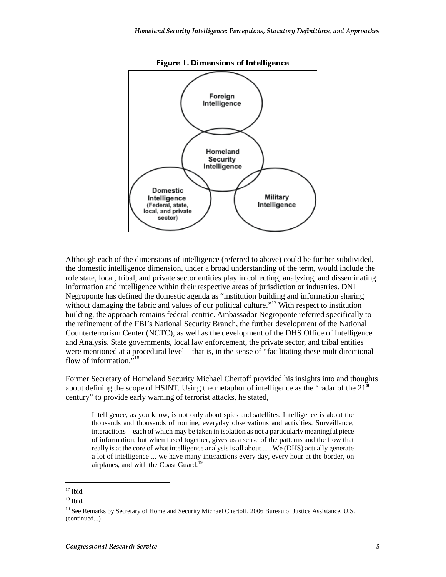

Figure 1. Dimensions of Intelligence

Although each of the dimensions of intelligence (referred to above) could be further subdivided, the domestic intelligence dimension, under a broad understanding of the term, would include the role state, local, tribal, and private sector entities play in collecting, analyzing, and disseminating information and intelligence within their respective areas of jurisdiction or industries. DNI Negroponte has defined the domestic agenda as "institution building and information sharing without damaging the fabric and values of our political culture."<sup>17</sup> With respect to institution building, the approach remains federal-centric. Ambassador Negroponte referred specifically to the refinement of the FBI's National Security Branch, the further development of the National Counterterrorism Center (NCTC), as well as the development of the DHS Office of Intelligence and Analysis. State governments, local law enforcement, the private sector, and tribal entities were mentioned at a procedural level—that is, in the sense of "facilitating these multidirectional flow of information. $^{7,18}$ 

Former Secretary of Homeland Security Michael Chertoff provided his insights into and thoughts about defining the scope of HSINT. Using the metaphor of intelligence as the "radar of the  $21<sup>st</sup>$ century" to provide early warning of terrorist attacks, he stated,

Intelligence, as you know, is not only about spies and satellites. Intelligence is about the thousands and thousands of routine, everyday observations and activities. Surveillance, interactions—each of which may be taken in isolation as not a particularly meaningful piece of information, but when fused together, gives us a sense of the patterns and the flow that really is at the core of what intelligence analysis is all about ... . We (DHS) actually generate a lot of intelligence ... we have many interactions every day, every hour at the border, on airplanes, and with the Coast Guard.<sup>19</sup>

 $^{17}$  Ibid.

 $18$  Ibid.

<sup>&</sup>lt;sup>19</sup> See Remarks by Secretary of Homeland Security Michael Chertoff, 2006 Bureau of Justice Assistance, U.S. (continued...)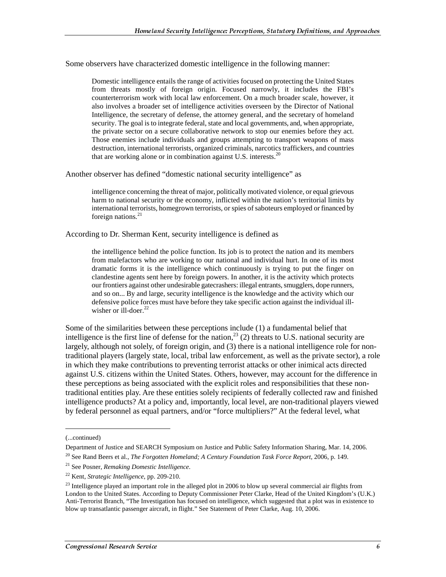Some observers have characterized domestic intelligence in the following manner:

Domestic intelligence entails the range of activities focused on protecting the United States from threats mostly of foreign origin. Focused narrowly, it includes the FBI's counterterrorism work with local law enforcement. On a much broader scale, however, it also involves a broader set of intelligence activities overseen by the Director of National Intelligence, the secretary of defense, the attorney general, and the secretary of homeland security. The goal is to integrate federal, state and local governments, and, when appropriate, the private sector on a secure collaborative network to stop our enemies before they act. Those enemies include individuals and groups attempting to transport weapons of mass destruction, international terrorists, organized criminals, narcotics traffickers, and countries that are working alone or in combination against U.S. interests. $20$ 

Another observer has defined "domestic national security intelligence" as

intelligence concerning the threat of major, politically motivated violence, or equal grievous harm to national security or the economy, inflicted within the nation's territorial limits by international terrorists, homegrown terrorists, or spies of saboteurs employed or financed by foreign nations. $21$ 

According to Dr. Sherman Kent, security intelligence is defined as

the intelligence behind the police function. Its job is to protect the nation and its members from malefactors who are working to our national and individual hurt. In one of its most dramatic forms it is the intelligence which continuously is trying to put the finger on clandestine agents sent here by foreign powers. In another, it is the activity which protects our frontiers against other undesirable gatecrashers: illegal entrants, smugglers, dope runners, and so on... By and large, security intelligence is the knowledge and the activity which our defensive police forces must have before they take specific action against the individual illwisher or  $i$ ll-doer.<sup>22</sup>

Some of the similarities between these perceptions include (1) a fundamental belief that intelligence is the first line of defense for the nation,<sup>23</sup> (2) threats to U.S. national security are largely, although not solely, of foreign origin, and (3) there is a national intelligence role for nontraditional players (largely state, local, tribal law enforcement, as well as the private sector), a role in which they make contributions to preventing terrorist attacks or other inimical acts directed against U.S. citizens within the United States. Others, however, may account for the difference in these perceptions as being associated with the explicit roles and responsibilities that these nontraditional entities play. Are these entities solely recipients of federally collected raw and finished intelligence products? At a policy and, importantly, local level, are non-traditional players viewed by federal personnel as equal partners, and/or "force multipliers?" At the federal level, what

 $\overline{a}$ 

<sup>(...</sup>continued)

Department of Justice and SEARCH Symposium on Justice and Public Safety Information Sharing, Mar. 14, 2006. 20 See Rand Beers et al., *The Forgotten Homeland; A Century Foundation Task Force Report*, 2006, p. 149.

<sup>21</sup> See Posner, *Remaking Domestic Intelligence*.

<sup>22</sup> Kent, *Strategic Intelligence*, pp. 209-210.

<sup>&</sup>lt;sup>23</sup> Intelligence played an important role in the alleged plot in 2006 to blow up several commercial air flights from London to the United States. According to Deputy Commissioner Peter Clarke, Head of the United Kingdom's (U.K.) Anti-Terrorist Branch, "The Investigation has focused on intelligence, which suggested that a plot was in existence to blow up transatlantic passenger aircraft, in flight." See Statement of Peter Clarke, Aug. 10, 2006.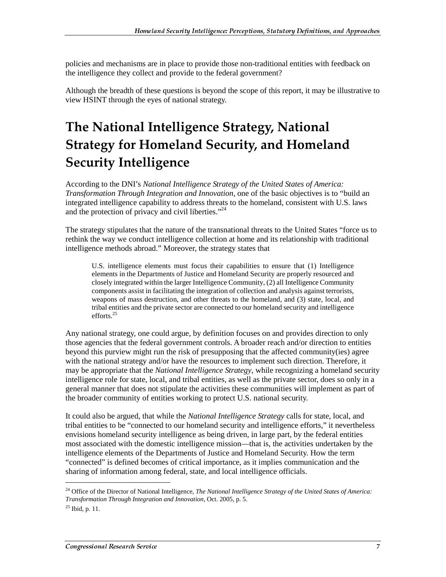policies and mechanisms are in place to provide those non-traditional entities with feedback on the intelligence they collect and provide to the federal government?

Although the breadth of these questions is beyond the scope of this report, it may be illustrative to view HSINT through the eyes of national strategy.

## The National Intelligence Strategy, National Strategy for Homeland Security, and Homeland **Security Intelligence**

According to the DNI's *National Intelligence Strategy of the United States of America: Transformation Through Integration and Innovation*, one of the basic objectives is to "build an integrated intelligence capability to address threats to the homeland, consistent with U.S. laws and the protection of privacy and civil liberties."<sup>24</sup>

The strategy stipulates that the nature of the transnational threats to the United States "force us to rethink the way we conduct intelligence collection at home and its relationship with traditional intelligence methods abroad." Moreover, the strategy states that

U.S. intelligence elements must focus their capabilities to ensure that (1) Intelligence elements in the Departments of Justice and Homeland Security are properly resourced and closely integrated within the larger Intelligence Community, (2) all Intelligence Community components assist in facilitating the integration of collection and analysis against terrorists, weapons of mass destruction, and other threats to the homeland, and (3) state, local, and tribal entities and the private sector are connected to our homeland security and intelligence efforts.<sup>25</sup>

Any national strategy, one could argue, by definition focuses on and provides direction to only those agencies that the federal government controls. A broader reach and/or direction to entities beyond this purview might run the risk of presupposing that the affected community(ies) agree with the national strategy and/or have the resources to implement such direction. Therefore, it may be appropriate that the *National Intelligence Strategy*, while recognizing a homeland security intelligence role for state, local, and tribal entities, as well as the private sector, does so only in a general manner that does not stipulate the activities these communities will implement as part of the broader community of entities working to protect U.S. national security.

It could also be argued, that while the *National Intelligence Strategy* calls for state, local, and tribal entities to be "connected to our homeland security and intelligence efforts," it nevertheless envisions homeland security intelligence as being driven, in large part, by the federal entities most associated with the domestic intelligence mission—that is, the activities undertaken by the intelligence elements of the Departments of Justice and Homeland Security. How the term "connected" is defined becomes of critical importance, as it implies communication and the sharing of information among federal, state, and local intelligence officials.

<sup>&</sup>lt;sup>24</sup> Office of the Director of National Intelligence, *The National Intelligence Strategy of the United States of America: Transformation Through Integration and Innovation*, Oct. 2005, p. 5.

 $^{25}$  Ibid, p. 11.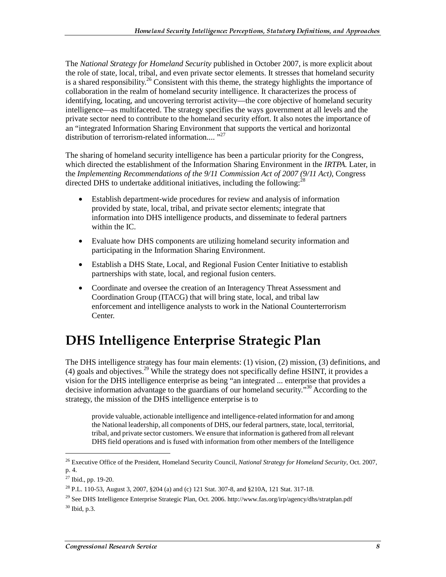The *National Strategy for Homeland Security* published in October 2007, is more explicit about the role of state, local, tribal, and even private sector elements. It stresses that homeland security is a shared responsibility.<sup>26</sup> Consistent with this theme, the strategy highlights the importance of collaboration in the realm of homeland security intelligence. It characterizes the process of identifying, locating, and uncovering terrorist activity—the core objective of homeland security intelligence—as multifaceted. The strategy specifies the ways government at all levels and the private sector need to contribute to the homeland security effort. It also notes the importance of an "integrated Information Sharing Environment that supports the vertical and horizontal distribution of terrorism-related information....<sup>"27</sup>

The sharing of homeland security intelligence has been a particular priority for the Congress, which directed the establishment of the Information Sharing Environment in the *IRTPA.* Later, in the *Implementing Recommendations of the 9/11 Commission Act of 2007 (9/11 Act)*, Congress directed DHS to undertake additional initiatives, including the following:<sup>28</sup>

- Establish department-wide procedures for review and analysis of information provided by state, local, tribal, and private sector elements; integrate that information into DHS intelligence products, and disseminate to federal partners within the IC.
- Evaluate how DHS components are utilizing homeland security information and participating in the Information Sharing Environment.
- Establish a DHS State, Local, and Regional Fusion Center Initiative to establish partnerships with state, local, and regional fusion centers.
- Coordinate and oversee the creation of an Interagency Threat Assessment and Coordination Group (ITACG) that will bring state, local, and tribal law enforcement and intelligence analysts to work in the National Counterterrorism Center.

### DHS Intelligence Enterprise Strategic Plan

The DHS intelligence strategy has four main elements: (1) vision, (2) mission, (3) definitions, and (4) goals and objectives.<sup>29</sup> While the strategy does not specifically define HSINT, it provides a vision for the DHS intelligence enterprise as being "an integrated ... enterprise that provides a decisive information advantage to the guardians of our homeland security."<sup>30</sup> According to the strategy, the mission of the DHS intelligence enterprise is to

provide valuable, actionable intelligence and intelligence-related information for and among the National leadership, all components of DHS, our federal partners, state, local, territorial, tribal, and private sector customers. We ensure that information is gathered from all relevant DHS field operations and is fused with information from other members of the Intelligence

 $\overline{a}$ 

<sup>26</sup> Executive Office of the President, Homeland Security Council, *National Strategy for Homeland Security*, Oct. 2007, p. 4.

 $27$  Ibid., pp. 19-20.

<sup>28</sup> P.L. 110-53, August 3, 2007, §204 (a) and (c) 121 Stat. 307-8, and §210A, 121 Stat. 317-18.

<sup>&</sup>lt;sup>29</sup> See DHS Intelligence Enterprise Strategic Plan, Oct. 2006. http://www.fas.org/irp/agency/dhs/stratplan.pdf 30 Ibid, p.3.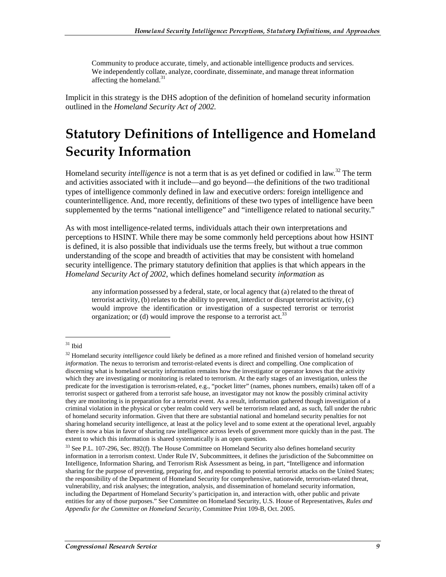Community to produce accurate, timely, and actionable intelligence products and services. We independently collate, analyze, coordinate, disseminate, and manage threat information affecting the homeland.<sup>31</sup>

Implicit in this strategy is the DHS adoption of the definition of homeland security information outlined in the *Homeland Security Act of 2002.*

### **Statutory Definitions of Intelligence and Homeland Security Information**

Homeland security *intelligence* is not a term that is as yet defined or codified in law.<sup>32</sup> The term and activities associated with it include—and go beyond—the definitions of the two traditional types of intelligence commonly defined in law and executive orders: foreign intelligence and counterintelligence. And, more recently, definitions of these two types of intelligence have been supplemented by the terms "national intelligence" and "intelligence related to national security."

As with most intelligence-related terms, individuals attach their own interpretations and perceptions to HSINT. While there may be some commonly held perceptions about how HSINT is defined, it is also possible that individuals use the terms freely, but without a true common understanding of the scope and breadth of activities that may be consistent with homeland security intelligence. The primary statutory definition that applies is that which appears in the *Homeland Security Act of 2002*, which defines homeland security *information* as

any information possessed by a federal, state, or local agency that (a) related to the threat of terrorist activity, (b) relates to the ability to prevent, interdict or disrupt terrorist activity, (c) would improve the identification or investigation of a suspected terrorist or terrorist organization; or (d) would improve the response to a terrorist act.<sup>33</sup>

 $31$  Ibid

<sup>32</sup> Homeland security *intelligence* could likely be defined as a more refined and finished version of homeland security *information*. The nexus to terrorism and terrorist-related events is direct and compelling. One complication of discerning what is homeland security information remains how the investigator or operator knows that the activity which they are investigating or monitoring is related to terrorism. At the early stages of an investigation, unless the predicate for the investigation is terrorism-related, e.g., "pocket litter" (names, phones numbers, emails) taken off of a terrorist suspect or gathered from a terrorist safe house, an investigator may not know the possibly criminal activity they are monitoring is in preparation for a terrorist event. As a result, information gathered though investigation of a criminal violation in the physical or cyber realm could very well be terrorism related and, as such, fall under the rubric of homeland security information. Given that there are substantial national and homeland security penalties for not sharing homeland security intelligence, at least at the policy level and to some extent at the operational level, arguably there is now a bias in favor of sharing raw intelligence across levels of government more quickly than in the past. The extent to which this information is shared systematically is an open question.

<sup>&</sup>lt;sup>33</sup> See P.L. 107-296, Sec. 892(f). The House Committee on Homeland Security also defines homeland security information in a terrorism context. Under Rule IV, Subcommittees, it defines the jurisdiction of the Subcommittee on Intelligence, Information Sharing, and Terrorism Risk Assessment as being, in part, "Intelligence and information sharing for the purpose of preventing, preparing for, and responding to potential terrorist attacks on the United States; the responsibility of the Department of Homeland Security for comprehensive, nationwide, terrorism-related threat, vulnerability, and risk analyses; the integration, analysis, and dissemination of homeland security information, including the Department of Homeland Security's participation in, and interaction with, other public and private entities for any of those purposes." See Committee on Homeland Security, U.S. House of Representatives, *Rules and Appendix for the Committee on Homeland Security*, Committee Print 109-B, Oct. 2005.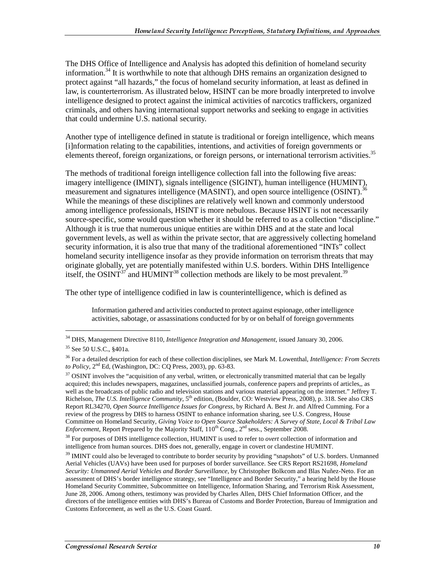The DHS Office of Intelligence and Analysis has adopted this definition of homeland security information.<sup>34</sup> It is worthwhile to note that although DHS remains an organization designed to protect against "all hazards," the focus of homeland security information, at least as defined in law, is counterterrorism. As illustrated below, HSINT can be more broadly interpreted to involve intelligence designed to protect against the inimical activities of narcotics traffickers, organized criminals, and others having international support networks and seeking to engage in activities that could undermine U.S. national security.

Another type of intelligence defined in statute is traditional or foreign intelligence, which means [i]nformation relating to the capabilities, intentions, and activities of foreign governments or elements thereof, foreign organizations, or foreign persons, or international terrorism activities.<sup>35</sup>

The methods of traditional foreign intelligence collection fall into the following five areas: imagery intelligence (IMINT), signals intelligence (SIGINT), human intelligence (HUMINT), measurement and signatures intelligence (MASINT), and open source intelligence (OSINT).<sup>36</sup> While the meanings of these disciplines are relatively well known and commonly understood among intelligence professionals, HSINT is more nebulous. Because HSINT is not necessarily source-specific, some would question whether it should be referred to as a collection "discipline." Although it is true that numerous unique entities are within DHS and at the state and local government levels, as well as within the private sector, that are aggressively collecting homeland security information, it is also true that many of the traditional aforementioned "INTs" collect homeland security intelligence insofar as they provide information on terrorism threats that may originate globally, yet are potentially manifested within U.S. borders. Within DHS Intelligence itself, the OSINT<sup>37</sup> and HUMINT<sup>38</sup> collection methods are likely to be most prevalent.<sup>39</sup>

The other type of intelligence codified in law is counterintelligence, which is defined as

Information gathered and activities conducted to protect against espionage, other intelligence activities, sabotage, or assassinations conducted for by or on behalf of foreign governments

<sup>34</sup> DHS, Management Directive 8110, *Intelligence Integration and Management,* issued January 30, 2006.

<sup>&</sup>lt;sup>35</sup> See 50 U.S.C., §401a.

<sup>36</sup> For a detailed description for each of these collection disciplines, see Mark M. Lowenthal, *Intelligence: From Secrets to Policy*, 2nd Ed, (Washington, DC: CQ Press, 2003), pp. 63-83.

<sup>&</sup>lt;sup>37</sup> OSINT involves the "acquisition of any verbal, written, or electronically transmitted material that can be legally acquired; this includes newspapers, magazines, unclassified journals, conference papers and preprints of articles,, as well as the broadcasts of public radio and television stations and various material appearing on the internet." Jeffrey T. Richelson, *The U.S. Intelligence Community,* 5th edition, (Boulder, CO: Westview Press, 2008), p. 318. See also CRS Report RL34270, *Open Source Intelligence Issues for Congress*, by Richard A. Best Jr. and Alfred Cumming. For a review of the progress by DHS to harness OSINT to enhance information sharing, see U.S. Congress, House Committee on Homeland Security, *Giving Voice to Open Source Stakeholders: A Survey of State, Local & Tribal Law Enforcement*, Report Prepared by the Majority Staff,  $110^{th}$  Cong.,  $2^{nd}$  sess., September 2008.

<sup>38</sup> For purposes of DHS intelligence collection, HUMINT is used to refer to *overt* collection of information and intelligence from human sources. DHS does not, generally, engage in covert or clandestine HUMINT.

<sup>&</sup>lt;sup>39</sup> IMINT could also be leveraged to contribute to border security by providing "snapshots" of U.S. borders. Unmanned Aerial Vehicles (UAVs) have been used for purposes of border surveillance. See CRS Report RS21698, *Homeland Security: Unmanned Aerial Vehicles and Border Surveillance*, by Christopher Bolkcom and Blas Nuñez-Neto. For an assessment of DHS's border intelligence strategy, see "Intelligence and Border Security," a hearing held by the House Homeland Security Committee, Subcommittee on Intelligence, Information Sharing, and Terrorism Risk Assessment, June 28, 2006. Among others, testimony was provided by Charles Allen, DHS Chief Information Officer, and the directors of the intelligence entities with DHS's Bureau of Customs and Border Protection, Bureau of Immigration and Customs Enforcement, as well as the U.S. Coast Guard.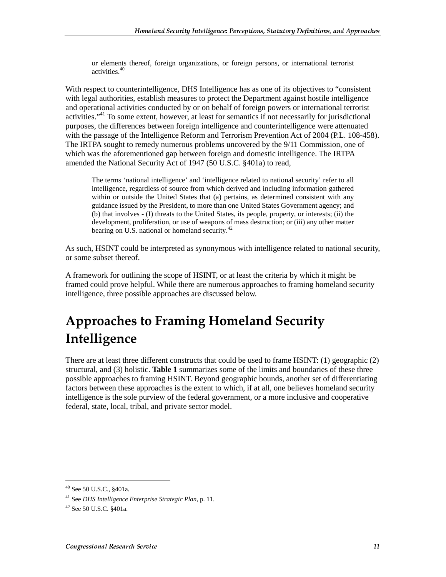or elements thereof, foreign organizations, or foreign persons, or international terrorist activities.<sup>40</sup>

With respect to counterintelligence, DHS Intelligence has as one of its objectives to "consistent with legal authorities, establish measures to protect the Department against hostile intelligence and operational activities conducted by or on behalf of foreign powers or international terrorist activities."41 To some extent, however, at least for semantics if not necessarily for jurisdictional purposes, the differences between foreign intelligence and counterintelligence were attenuated with the passage of the Intelligence Reform and Terrorism Prevention Act of 2004 (P.L. 108-458). The IRTPA sought to remedy numerous problems uncovered by the 9/11 Commission, one of which was the aforementioned gap between foreign and domestic intelligence. The IRTPA amended the National Security Act of 1947 (50 U.S.C. §401a) to read,

The terms 'national intelligence' and 'intelligence related to national security' refer to all intelligence, regardless of source from which derived and including information gathered within or outside the United States that (a) pertains, as determined consistent with any guidance issued by the President, to more than one United States Government agency; and (b) that involves - (I) threats to the United States, its people, property, or interests; (ii) the development, proliferation, or use of weapons of mass destruction; or (iii) any other matter bearing on U.S. national or homeland security.<sup>42</sup>

As such, HSINT could be interpreted as synonymous with intelligence related to national security, or some subset thereof.

A framework for outlining the scope of HSINT, or at least the criteria by which it might be framed could prove helpful. While there are numerous approaches to framing homeland security intelligence, three possible approaches are discussed below.

### **Approaches to Framing Homeland Security** Intelligence

There are at least three different constructs that could be used to frame HSINT: (1) geographic (2) structural, and (3) holistic. **Table 1** summarizes some of the limits and boundaries of these three possible approaches to framing HSINT. Beyond geographic bounds, another set of differentiating factors between these approaches is the extent to which, if at all, one believes homeland security intelligence is the sole purview of the federal government, or a more inclusive and cooperative federal, state, local, tribal, and private sector model.

<sup>40</sup> See 50 U.S.C., §401a.

<sup>41</sup> See *DHS Intelligence Enterprise Strategic Plan*, p. 11.

<sup>42</sup> See 50 U.S.C. §401a.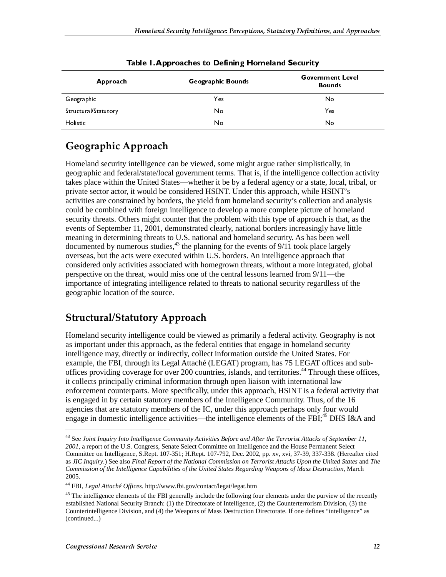| Approach             | Geographic Bounds | <b>Government Level</b><br><b>Bounds</b> |
|----------------------|-------------------|------------------------------------------|
| Geographic           | Yes               | No                                       |
| Structural/Statutory | No                | Yes.                                     |
| Holistic             | No                | No                                       |

Table 1. Approaches to Defining Homeland Security

### Geographic Approach

Howeless Stearing Intelligence: Perceptions, Starsberg Definitions, and Approximations (Security 1997)<br>
Table 1. Approxaches to Defining Hormeland Security Comment Level<br>
Sovernment Level<br>
Sovernment Level<br>
Sovernment Lev No<br>
Yes<br>
No<br>
Yes<br>
No<br>
Ses<br>
No<br>
Ses<br>
No<br>
Ses<br>
Ses<br>
Ses<br>
Ses<br>
Ses<br>
Divided in the proof of the<br>
Decay and securive that<br>
Indees the proof of the<br>
Indees of Septe<br>
The proof of the<br>
Securive of Septe<br>
In al law<br>
Securive of S Structural Memberson and the source of the method in the solution of the solution of the solution of the solution of the solution of the solution of the solution of the solution of the solution of the solution of the solu Hotsie<br>
Hotsie<br>
Hotsie<br>
Geographic Approach<br>
Homeland security intelligence can be viewed, some might argue rather is<br>implisically compared and the dentativational government trens. That is, if the intelligence colle<br>thes **Geographic Approach**<br> **Geographic Approach**<br>
Homeland security intelligence can be viewed, some might argue rather simplistical<br>
geographic and federal/state/local government terms. That is, if the intelligence coll<br>
als Homeland security intelligence can be viewed, some might argue rather simplistically, in geographic and federal/state/local government terms. That is, if the intelligence collection activity takes place within the United States—whether it be by a federal agency or a state, local, tribal, or private sector actor, it would be considered HSINT. Under this approach, while HSINT's activities are constrained by borders, the yield from homeland security's collection and analysis could be combined with foreign intelligence to develop a more complete picture of homeland security threats. Others might counter that the problem with this type of approach is that, as the events of September 11, 2001, demonstrated clearly, national borders increasingly have little meaning in determining threats to U.S. national and homeland security. As has been well documented by numerous studies,<sup>43</sup> the planning for the events of  $9/11$  took place largely overseas, but the acts were executed within U.S. borders. An intelligence approach that considered only activities associated with homegrown threats, without a more integrated, global perspective on the threat, would miss one of the central lessons learned from 9/11—the importance of integrating intelligence related to threats to national security regardless of the geographic location of the source.

#### **Structural/Statutory Approach**

Homeland security intelligence could be viewed as primarily a federal activity. Geography is not as important under this approach, as the federal entities that engage in homeland security intelligence may, directly or indirectly, collect information outside the United States. For example, the FBI, through its Legal Attaché (LEGAT) program, has 75 LEGAT offices and suboffices providing coverage for over 200 countries, islands, and territories.44 Through these offices, it collects principally criminal information through open liaison with international law enforcement counterparts. More specifically, under this approach, HSINT is a federal activity that is engaged in by certain statutory members of the Intelligence Community. Thus, of the 16 agencies that are statutory members of the IC, under this approach perhaps only four would engage in domestic intelligence activities—the intelligence elements of the FBI;<sup>45</sup> DHS I&A and

<sup>43</sup> See *Joint Inquiry Into Intelligence Community Activities Before and After the Terrorist Attacks of September 11, 2001*, a report of the U.S. Congress, Senate Select Committee on Intelligence and the House Permanent Select Committee on Intelligence, S.Rept. 107-351; H.Rept. 107-792, Dec. 2002, pp. xv, xvi, 37-39, 337-338. (Hereafter cited as *JIC Inquiry*.) See also *Final Report of the National Commission on Terrorist Attacks Upon the United States* and *The Commission of the Intelligence Capabilities of the United States Regarding Weapons of Mass Destruction*, March 2005.

<sup>44</sup> FBI, *Legal Attaché Offices*. http://www.fbi.gov/contact/legat/legat.htm

<sup>&</sup>lt;sup>45</sup> The intelligence elements of the FBI generally include the following four elements under the purview of the recently established National Security Branch: (1) the Directorate of Intelligence, (2) the Counterterrorism Division, (3) the Counterintelligence Division, and (4) the Weapons of Mass Destruction Directorate. If one defines "intelligence" as (continued...)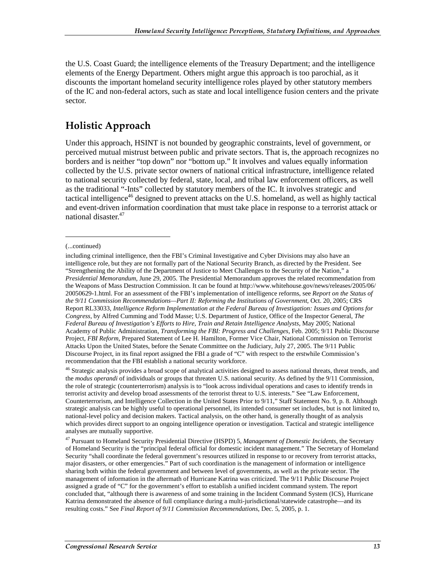the U.S. Coast Guard; the intelligence elements of the Treasury Department; and the intelligence elements of the Energy Department. Others might argue this approach is too parochial, as it discounts the important homeland security intelligence roles played by other statutory members of the IC and non-federal actors, such as state and local intelligence fusion centers and the private sector.

#### **Holistic Approach**

Under this approach, HSINT is not bounded by geographic constraints, level of government, or perceived mutual mistrust between public and private sectors. That is, the approach recognizes no borders and is neither "top down" nor "bottom up." It involves and values equally information collected by the U.S. private sector owners of national critical infrastructure, intelligence related to national security collected by federal, state, local, and tribal law enforcement officers, as well as the traditional "-Ints" collected by statutory members of the IC. It involves strategic and tactical intelligence<sup>46</sup> designed to prevent attacks on the U.S. homeland, as well as highly tactical and event-driven information coordination that must take place in response to a terrorist attack or national disaster.<sup>47</sup>

(...continued)

including criminal intelligence, then the FBI's Criminal Investigative and Cyber Divisions may also have an intelligence role, but they are not formally part of the National Security Branch, as directed by the President. See "Strengthening the Ability of the Department of Justice to Meet Challenges to the Security of the Nation," a *Presidential Memorandum*, June 29, 2005. The Presidential Memorandum approves the related recommendation from the Weapons of Mass Destruction Commission. It can be found at http://www.whitehouse.gov/news/releases/2005/06/ 20050629-1.html. For an assessment of the FBI's implementation of intelligence reforms, see *Report on the Status of the 9/11 Commission Recommendations—Part II: Reforming the Institutions of Government*, Oct. 20, 2005; CRS Report RL33033, *Intelligence Reform Implementation at the Federal Bureau of Investigation: Issues and Options for Congress*, by Alfred Cumming and Todd Masse; U.S. Department of Justice, Office of the Inspector General, *The Federal Bureau of Investigation's Efforts to Hire, Train and Retain Intelligence Analysts*, May 2005; National Academy of Public Administration, *Transforming the FBI: Progress and Challenges*, Feb. 2005; 9/11 Public Discourse Project, *FBI Reform*, Prepared Statement of Lee H. Hamilton, Former Vice Chair, National Commission on Terrorist Attacks Upon the United States, before the Senate Committee on the Judiciary, July 27, 2005. The 9/11 Public Discourse Project, in its final report assigned the FBI a grade of "C" with respect to the erstwhile Commission's recommendation that the FBI establish a national security workforce.

<sup>&</sup>lt;sup>46</sup> Strategic analysis provides a broad scope of analytical activities designed to assess national threats, threat trends, and the *modus operandi* of individuals or groups that threaten U.S. national security. As defined by the 9/11 Commission, the role of strategic (counterterrorism) analysis is to "look across individual operations and cases to identify trends in terrorist activity and develop broad assessments of the terrorist threat to U.S. interests." See "Law Enforcement, Counterterrorism, and Intelligence Collection in the United States Prior to 9/11," Staff Statement No. 9, p. 8. Although strategic analysis can be highly useful to operational personnel, its intended consumer set includes, but is not limited to, national-level policy and decision makers. Tactical analysis, on the other hand, is generally thought of as analysis which provides direct support to an ongoing intelligence operation or investigation. Tactical and strategic intelligence analyses are mutually supportive.

<sup>47</sup> Pursuant to Homeland Security Presidential Directive (HSPD) 5, *Management of Domestic Incidents*, the Secretary of Homeland Security is the "principal federal official for domestic incident management." The Secretary of Homeland Security "shall coordinate the federal government's resources utilized in response to or recovery from terrorist attacks, major disasters, or other emergencies." Part of such coordination is the management of information or intelligence sharing both within the federal government and between level of governments, as well as the private sector. The management of information in the aftermath of Hurricane Katrina was criticized. The 9/11 Public Discourse Project assigned a grade of "C" for the government's effort to establish a unified incident command system. The report concluded that, "although there is awareness of and some training in the Incident Command System (ICS), Hurricane Katrina demonstrated the absence of full compliance during a multi-jurisdictional/statewide catastrophe—and its resulting costs." See *Final Report of 9/11 Commission Recommendations*, Dec. 5, 2005, p. 1.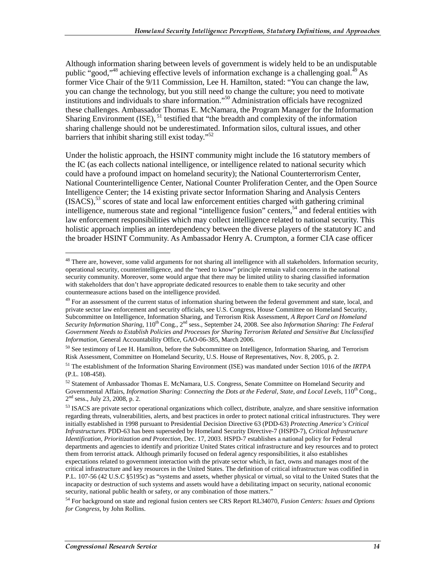Although information sharing between levels of government is widely held to be an undisputable public "good,"<sup>48</sup> achieving effective levels of information exchange is a challenging goal.<sup>49</sup> As former Vice Chair of the 9/11 Commission, Lee H. Hamilton, stated: "You can change the law, you can change the technology, but you still need to change the culture; you need to motivate institutions and individuals to share information."50 Administration officials have recognized these challenges. Ambassador Thomas E. McNamara, the Program Manager for the Information Sharing Environment (ISE),  $51$  testified that "the breadth and complexity of the information sharing challenge should not be underestimated. Information silos, cultural issues, and other barriers that inhibit sharing still exist today."<sup>52</sup>

Under the holistic approach, the HSINT community might include the 16 statutory members of the IC (as each collects national intelligence, or intelligence related to national security which could have a profound impact on homeland security); the National Counterterrorism Center, National Counterintelligence Center, National Counter Proliferation Center, and the Open Source Intelligence Center; the 14 existing private sector Information Sharing and Analysis Centers  $(ISACS)$ ,  $53$  scores of state and local law enforcement entities charged with gathering criminal intelligence, numerous state and regional "intelligence fusion" centers,<sup>54</sup> and federal entities with law enforcement responsibilities which may collect intelligence related to national security. This holistic approach implies an interdependency between the diverse players of the statutory IC and the broader HSINT Community. As Ambassador Henry A. Crumpton, a former CIA case officer

<sup>&</sup>lt;sup>48</sup> There are, however, some valid arguments for not sharing all intelligence with all stakeholders. Information security, operational security, counterintelligence, and the "need to know" principle remain valid concerns in the national security community. Moreover, some would argue that there may be limited utility to sharing classified information with stakeholders that don't have appropriate dedicated resources to enable them to take security and other countermeasure actions based on the intelligence provided.

 $49$  For an assessment of the current status of information sharing between the federal government and state, local, and private sector law enforcement and security officials, see U.S. Congress, House Committee on Homeland Security, Subcommittee on Intelligence, Information Sharing, and Terrorism Risk Assessment, *A Report Card on Homeland Security Information Sharing*, 110<sup>th</sup> Cong., 2<sup>nd</sup> sess., September 24, 2008. See also *Information Sharing: The Federal Government Needs to Establish Policies and Processes for Sharing Terrorism Related and Sensitive But Unclassified Information,* General Accountability Office, GAO-06-385, March 2006.

<sup>&</sup>lt;sup>50</sup> See testimony of Lee H. Hamilton, before the Subcommittee on Intelligence, Information Sharing, and Terrorism Risk Assessment, Committee on Homeland Security, U.S. House of Representatives, Nov. 8, 2005, p. 2.

<sup>51</sup> The establishment of the Information Sharing Environment (ISE) was mandated under Section 1016 of the *IRTPA* (P.L. 108-458).

<sup>52</sup> Statement of Ambassador Thomas E. McNamara, U.S. Congress, Senate Committee on Homeland Security and Governmental Affairs, *Information Sharing: Connecting the Dots at the Federal, State, and Local Levels*, 110<sup>th</sup> Cong.,  $2<sup>nd</sup>$  sess., July 23, 2008, p. 2.

<sup>&</sup>lt;sup>53</sup> ISACS are private sector operational organizations which collect, distribute, analyze, and share sensitive information regarding threats, vulnerabilities, alerts, and best practices in order to protect national critical infrastructures. They were initially established in 1998 pursuant to Presidential Decision Directive 63 (PDD-63) *Protecting America's Critical Infrastructures.* PDD-63 has been superseded by Homeland Security Directive-7 (HSPD-7), *Critical Infrastructure Identification, Prioritization and Protection,* Dec. 17, 2003. HSPD-7 establishes a national policy for Federal departments and agencies to identify and prioritize United States critical infrastructure and key resources and to protect them from terrorist attack. Although primarily focused on federal agency responsibilities, it also establishes expectations related to government interaction with the private sector which, in fact, owns and manages most of the critical infrastructure and key resources in the United States. The definition of critical infrastructure was codified in P.L. 107-56 (42 U.S.C §5195c) as "systems and assets, whether physical or virtual, so vital to the United States that the incapacity or destruction of such systems and assets would have a debilitating impact on security, national economic security, national public health or safety, or any combination of those matters."

<sup>54</sup> For background on state and regional fusion centers see CRS Report RL34070, *Fusion Centers: Issues and Options for Congress*, by John Rollins.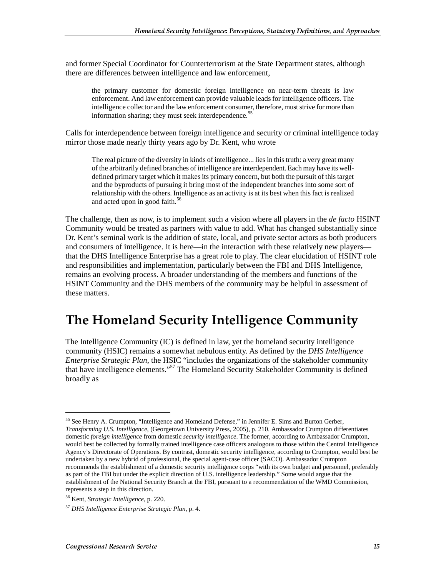and former Special Coordinator for Counterterrorism at the State Department states, although there are differences between intelligence and law enforcement,

the primary customer for domestic foreign intelligence on near-term threats is law enforcement. And law enforcement can provide valuable leads for intelligence officers. The intelligence collector and the law enforcement consumer, therefore, must strive for more than information sharing; they must seek interdependence.<sup>55</sup>

Calls for interdependence between foreign intelligence and security or criminal intelligence today mirror those made nearly thirty years ago by Dr. Kent, who wrote

The real picture of the diversity in kinds of intelligence... lies in this truth: a very great many of the arbitrarily defined branches of intelligence are interdependent. Each may have its welldefined primary target which it makes its primary concern, but both the pursuit of this target and the byproducts of pursuing it bring most of the independent branches into some sort of relationship with the others. Intelligence as an activity is at its best when this fact is realized and acted upon in good faith.<sup>56</sup>

The challenge, then as now, is to implement such a vision where all players in the *de facto* HSINT Community would be treated as partners with value to add. What has changed substantially since Dr. Kent's seminal work is the addition of state, local, and private sector actors as both producers and consumers of intelligence. It is here—in the interaction with these relatively new players that the DHS Intelligence Enterprise has a great role to play. The clear elucidation of HSINT role and responsibilities and implementation, particularly between the FBI and DHS Intelligence, remains an evolving process. A broader understanding of the members and functions of the HSINT Community and the DHS members of the community may be helpful in assessment of these matters.

### **The Homeland Security Intelligence Community**

The Intelligence Community (IC) is defined in law, yet the homeland security intelligence community (HSIC) remains a somewhat nebulous entity. As defined by the *DHS Intelligence Enterprise Strategic Plan*, the HSIC "includes the organizations of the stakeholder community that have intelligence elements."57 The Homeland Security Stakeholder Community is defined broadly as

<sup>55</sup> See Henry A. Crumpton, "Intelligence and Homeland Defense," in Jennifer E. Sims and Burton Gerber, *Transforming U.S. Intelligence*, (Georgetown University Press, 2005), p. 210. Ambassador Crumpton differentiates domestic *foreign intelligence* from domestic *security intelligence*. The former, according to Ambassador Crumpton, would best be collected by formally trained intelligence case officers analogous to those within the Central Intelligence Agency's Directorate of Operations. By contrast, domestic security intelligence, according to Crumpton, would best be undertaken by a new hybrid of professional, the special agent-case officer (SACO). Ambassador Crumpton recommends the establishment of a domestic security intelligence corps "with its own budget and personnel, preferably as part of the FBI but under the explicit direction of U.S. intelligence leadership." Some would argue that the establishment of the National Security Branch at the FBI, pursuant to a recommendation of the WMD Commission, represents a step in this direction.

<sup>56</sup> Kent, *Strategic Intelligence*, p. 220.

<sup>57</sup> *DHS Intelligence Enterprise Strategic Plan*, p. 4.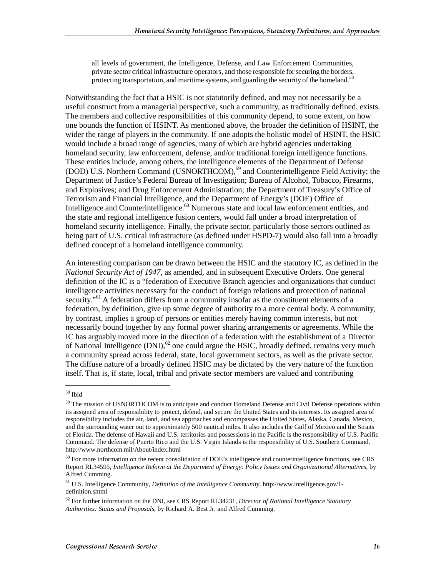all levels of government, the Intelligence, Defense, and Law Enforcement Communities, private sector critical infrastructure operators, and those responsible for securing the borders, protecting transportation, and maritime systems, and guarding the security of the homeland.<sup>58</sup>

Notwithstanding the fact that a HSIC is not statutorily defined, and may not necessarily be a useful construct from a managerial perspective, such a community, as traditionally defined, exists. The members and collective responsibilities of this community depend, to some extent, on how one bounds the function of HSINT. As mentioned above, the broader the definition of HSINT, the wider the range of players in the community. If one adopts the holistic model of HSINT, the HSIC would include a broad range of agencies, many of which are hybrid agencies undertaking homeland security, law enforcement, defense, and/or traditional foreign intelligence functions. These entities include, among others, the intelligence elements of the Department of Defense (DOD) U.S. Northern Command (USNORTHCOM),<sup>59</sup> and Counterintelligence Field Activity; the Department of Justice's Federal Bureau of Investigation; Bureau of Alcohol, Tobacco, Firearms, and Explosives; and Drug Enforcement Administration; the Department of Treasury's Office of Terrorism and Financial Intelligence, and the Department of Energy's (DOE) Office of Intelligence and Counterintelligence.<sup>60</sup> Numerous state and local law enforcement entities, and the state and regional intelligence fusion centers, would fall under a broad interpretation of homeland security intelligence. Finally, the private sector, particularly those sectors outlined as being part of U.S. critical infrastructure (as defined under HSPD-7) would also fall into a broadly defined concept of a homeland intelligence community.

An interesting comparison can be drawn between the HSIC and the statutory IC, as defined in the *National Security Act of 1947,* as amended, and in subsequent Executive Orders. One general definition of the IC is a "federation of Executive Branch agencies and organizations that conduct intelligence activities necessary for the conduct of foreign relations and protection of national security.<sup>"61</sup> A federation differs from a community insofar as the constituent elements of a federation, by definition, give up some degree of authority to a more central body. A community, by contrast, implies a group of persons or entities merely having common interests, but not necessarily bound together by any formal power sharing arrangements or agreements. While the IC has arguably moved more in the direction of a federation with the establishment of a Director of National Intelligence  $(DNI)$ ,<sup>62</sup> one could argue the HSIC, broadly defined, remains very much a community spread across federal, state, local government sectors, as well as the private sector. The diffuse nature of a broadly defined HSIC may be dictated by the very nature of the function itself. That is, if state, local, tribal and private sector members are valued and contributing

<sup>58</sup> Ibid

<sup>&</sup>lt;sup>59</sup> The mission of USNORTHCOM is to anticipate and conduct Homeland Defense and Civil Defense operations within its assigned area of responsibility to protect, defend, and secure the United States and its interests. Its assigned area of responsibility includes the air, land, and sea approaches and encompasses the United States, Alaska, Canada, Mexico, and the surrounding water out to approximately 500 nautical miles. It also includes the Gulf of Mexico and the Straits of Florida. The defense of Hawaii and U.S. territories and possessions in the Pacific is the responsibility of U.S. Pacific Command. The defense of Puerto Rico and the U.S. Virgin Islands is the responsibility of U.S. Southern Command. http://www.northcom.mil/About/index.html

 $^{60}$  For more information on the recent consolidation of DOE's intelligence and counterintelligence functions, see CRS Report RL34595, *Intelligence Reform at the Department of Energy: Policy Issues and Organizational Alternatives*, by Alfred Cumming.

<sup>61</sup> U.S. Intelligence Community, *Definition of the Intelligence Community*. http://www.intelligence.gov/1 definition.shtml

<sup>62</sup> For further information on the DNI, see CRS Report RL34231, *Director of National Intelligence Statutory Authorities: Status and Proposals*, by Richard A. Best Jr. and Alfred Cumming.